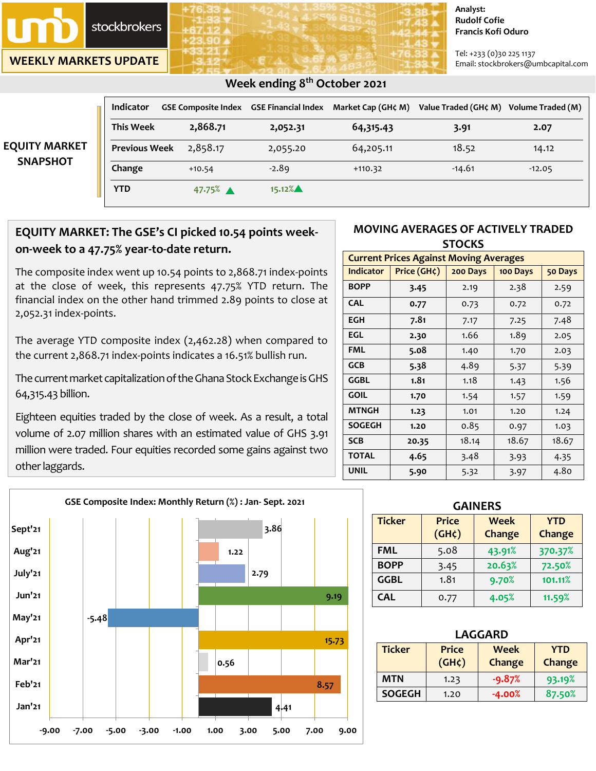

**WEEKLY MARKETS UPDATE**

#### **Analyst: Rudolf Cofie Francis Kofi Oduro**

Tel: +233 (0)30 225 1137 Email: stockbrokers@umbcapital.com

| <b>EQUITY MARKET</b><br><b>SNAPSHOT</b> | <b>Indicator</b>     |                      | <b>GSE Composite Index GSE Financial Index</b> | Market Cap (GH¢ M) | Value Traded (GH¢ M) Volume Traded (M) |          |
|-----------------------------------------|----------------------|----------------------|------------------------------------------------|--------------------|----------------------------------------|----------|
|                                         | <b>This Week</b>     | 2,868.71             | 2,052.31                                       | 64,315.43          | 3.91                                   | 2.07     |
|                                         | <b>Previous Week</b> | 2,858.17             | 2,055.20                                       | 64,205.11          | 18.52                                  | 14.12    |
|                                         | Change               | $+10.54$             | $-2.89$                                        | $+110.32$          | $-14.61$                               | $-12.05$ |
|                                         | <b>YTD</b>           | $47.75%$ $\triangle$ | $15.12\%$                                      |                    |                                        |          |

# **EQUITY MARKET: The GSE's CI picked 10.54 points weekon-week to a 47.75% year-to-date return.**

 **Week ending 8 th October 2021** 

The composite index went up 10.54 points to 2,868.71 index-points at the close of week, this represents 47.75% YTD return. The financial index on the other hand trimmed 2.89 points to close at 2,052.31 index-points.

The average YTD composite index (2,462.28) when compared to the current 2,868.71 index-points indicates a 16.51% bullish run.

The current market capitalization of the Ghana Stock Exchange is GHS 64,315.43 billion.

Eighteen equities traded by the close of week. As a result, a total volume of 2.07 million shares with an estimated value of GHS 3.91 million were traded. Four equities recorded some gains against two other laggards.

### **MOVING AVERAGES OF ACTIVELY TRADED STOCKS**

| <b>Current Prices Against Moving Averages</b> |             |          |          |         |  |
|-----------------------------------------------|-------------|----------|----------|---------|--|
| <b>Indicator</b>                              | Price (GH¢) | 200 Days | 100 Days | 50 Days |  |
| <b>BOPP</b>                                   | 3.45        | 2.19     | 2.38     | 2.59    |  |
| <b>CAL</b>                                    | 0.77        | 0.73     | 0.72     | 0.72    |  |
| <b>EGH</b>                                    | 7.81        | 7.17     | 7.25     | 7.48    |  |
| EGL                                           | 2.30        | 1.66     | 1.89     | 2.05    |  |
| <b>FML</b>                                    | 5.08        | 1.40     | 1.70     | 2.03    |  |
| <b>GCB</b>                                    | 5.38        | 4.89     | 5.37     | 5.39    |  |
| <b>GGBL</b>                                   | 1.81        | 1.18     | 1.43     | 1.56    |  |
| <b>GOIL</b>                                   | 1.70        | 1.54     | 1.57     | 1.59    |  |
| <b>MTNGH</b>                                  | 1.23        | 1.01     | 1.20     | 1.24    |  |
| <b>SOGEGH</b>                                 | 1.20        | 0.85     | 0.97     | 1.03    |  |
| <b>SCB</b>                                    | 20.35       | 18.14    | 18.67    | 18.67   |  |
| <b>TOTAL</b>                                  | 4.65        | 3.48     | 3.93     | 4.35    |  |
| <b>UNIL</b>                                   | 5.90        | 5.32     | 3.97     | 4.80    |  |



| <b>GAINERS</b> |                             |                       |                      |  |  |
|----------------|-----------------------------|-----------------------|----------------------|--|--|
| <b>Ticker</b>  | <b>Price</b><br>$(GH\zeta)$ | <b>Week</b><br>Change | <b>YTD</b><br>Change |  |  |
| <b>FML</b>     | 5.08                        | 43.91%                | 370.37%              |  |  |
| <b>BOPP</b>    | 3.45                        | 20.63%                | 72.50%               |  |  |
| <b>GGBL</b>    | 1.81                        | 9.70%                 | 101.11%              |  |  |
| <b>CAL</b>     | 0.77                        | 4.05%                 | 11.59%               |  |  |

| <b>LAGGARD</b> |                    |            |        |  |  |
|----------------|--------------------|------------|--------|--|--|
| <b>Ticker</b>  | <b>Price</b>       | <b>YTD</b> |        |  |  |
|                | (GH <sub>c</sub> ) | Change     | Change |  |  |
| <b>MTN</b>     | 1.23               | $-9.87%$   | 93.19% |  |  |
| <b>SOGEGH</b>  | 1.20               | $-4.00%$   | 87.50% |  |  |